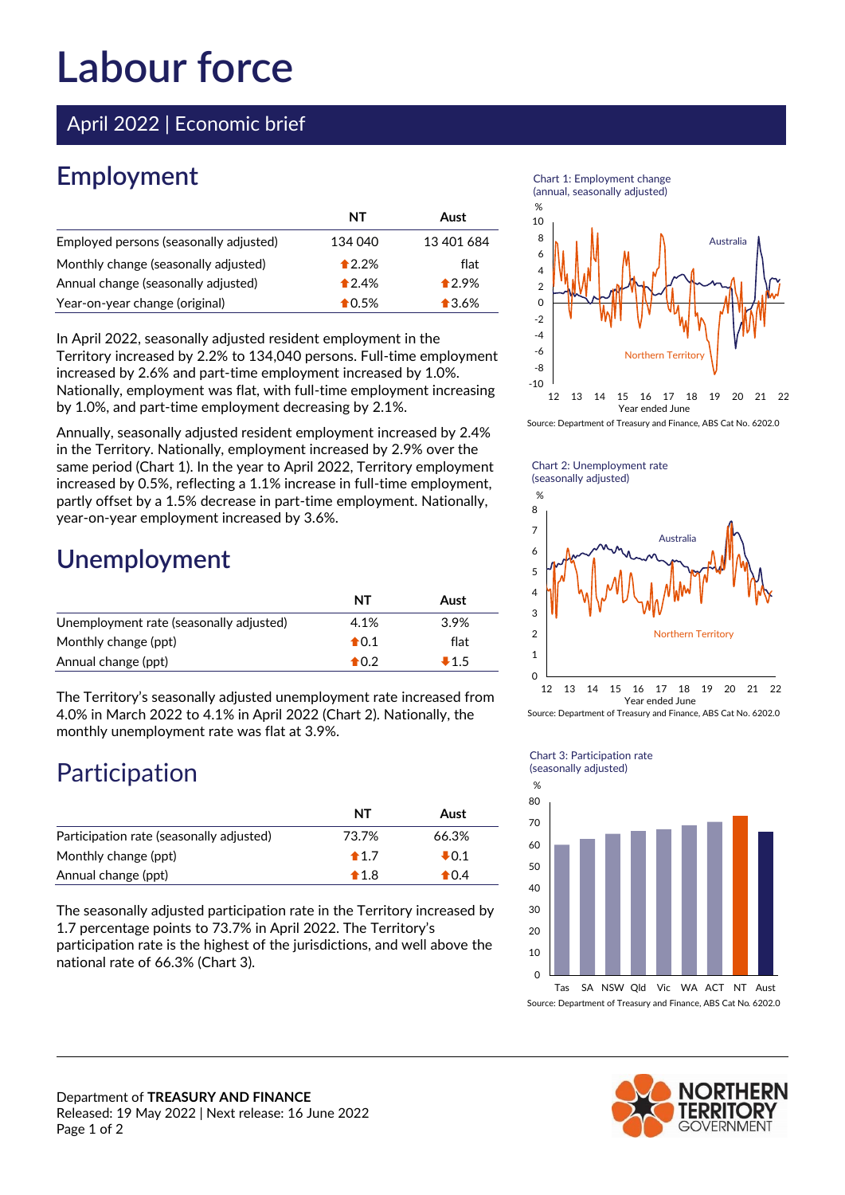# **Labour force**

April 2022 | Economic brief

## **Employment**

|                                        | NT      | Aust           |
|----------------------------------------|---------|----------------|
| Employed persons (seasonally adjusted) | 134 040 | 13 401 684     |
| Monthly change (seasonally adjusted)   | $*2.2%$ | flat           |
| Annual change (seasonally adjusted)    | $*2.4%$ | $*2.9%$        |
| Year-on-year change (original)         | $*0.5%$ | $\bullet$ 3.6% |

In April 2022, seasonally adjusted resident employment in the Territory increased by 2.2% to 134,040 persons. Full-time employment increased by 2.6% and part-time employment increased by 1.0%. Nationally, employment was flat, with full-time employment increasing by 1.0%, and part-time employment decreasing by 2.1%.

Annually, seasonally adjusted resident employment increased by 2.4% in the Territory. Nationally, employment increased by 2.9% over the same period (Chart 1). In the year to April 2022, Territory employment increased by 0.5%, reflecting a 1.1% increase in full-time employment, partly offset by a 1.5% decrease in part-time employment. Nationally, year-on-year employment increased by 3.6%.

#### **Unemployment**

|                                         | <b>NT</b>      | Aust   |
|-----------------------------------------|----------------|--------|
| Unemployment rate (seasonally adjusted) | 4.1%           | 3.9%   |
| Monthly change (ppt)                    | $\bigstar$ 0.1 | flat   |
| Annual change (ppt)                     | $\bigstar$ 0.2 | $-1.5$ |

The Territory's seasonally adjusted unemployment rate increased from 4.0% in March 2022 to 4.1% in April 2022 (Chart 2). Nationally, the monthly unemployment rate was flat at 3.9%.

### Participation

|                                          | NT             | Aust   |
|------------------------------------------|----------------|--------|
| Participation rate (seasonally adjusted) | 73.7%          | 66.3%  |
| Monthly change (ppt)                     | $\bigstar$ 1.7 | $+0.1$ |
| Annual change (ppt)                      | $\bigstar$ 1.8 | $*0.4$ |

The seasonally adjusted participation rate in the Territory increased by 1.7 percentage points to 73.7% in April 2022. The Territory's participation rate is the highest of the jurisdictions, and well above the national rate of 66.3% (Chart 3).





Source: Department of Treasury and Finance, ABS Cat No. 6202.0

Chart 2: Unemployment rate (seasonally adjusted)



Source: Department of Treasury and Finance, ABS Cat No. 6202.0